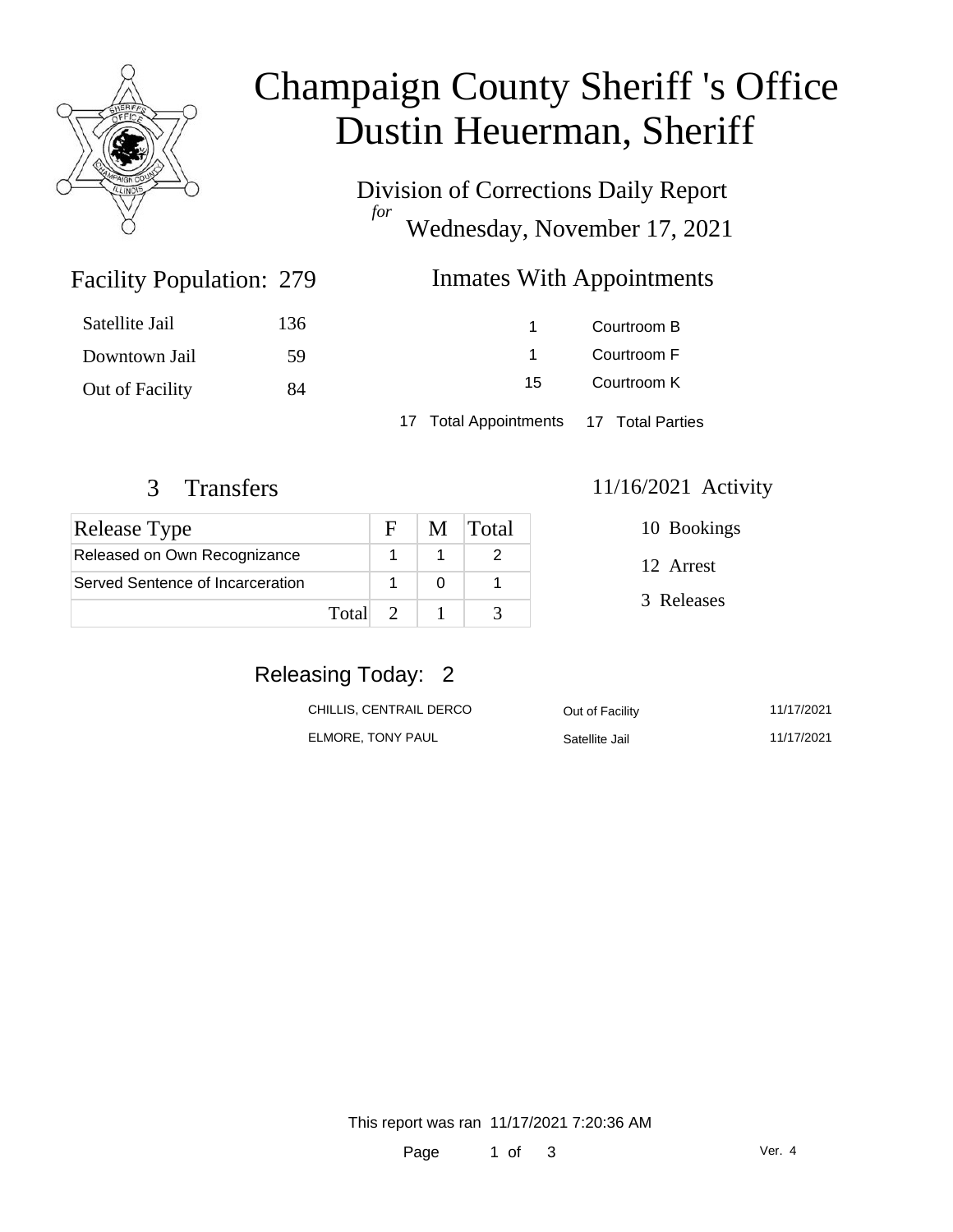

# Champaign County Sheriff 's Office Dustin Heuerman, Sheriff

Division of Corrections Daily Report *for* Wednesday, November 17, 2021

## Inmates With Appointments

| Satellite Jail  | 136 |                                        | Courtroom B |
|-----------------|-----|----------------------------------------|-------------|
| Downtown Jail   | .59 |                                        | Courtroom F |
| Out of Facility | 84  | 15                                     | Courtroom K |
|                 |     | 17 Total Appointments 17 Total Parties |             |

Facility Population: 279

| <b>Release Type</b>              |         | н. | M Total |
|----------------------------------|---------|----|---------|
| Released on Own Recognizance     |         |    |         |
| Served Sentence of Incarceration |         |    |         |
|                                  | Total 2 |    |         |

#### 3 Transfers 11/16/2021 Activity

| 10 Bookings |  |
|-------------|--|
| 12 Arrest   |  |
| 3 Releases  |  |

# Releasing Today: 2

| CHILLIS. CENTRAIL DERCO | Out of Facility | 11/17/2021 |
|-------------------------|-----------------|------------|
| ELMORE. TONY PAUL       | Satellite Jail  | 11/17/2021 |

This report was ran 11/17/2021 7:20:36 AM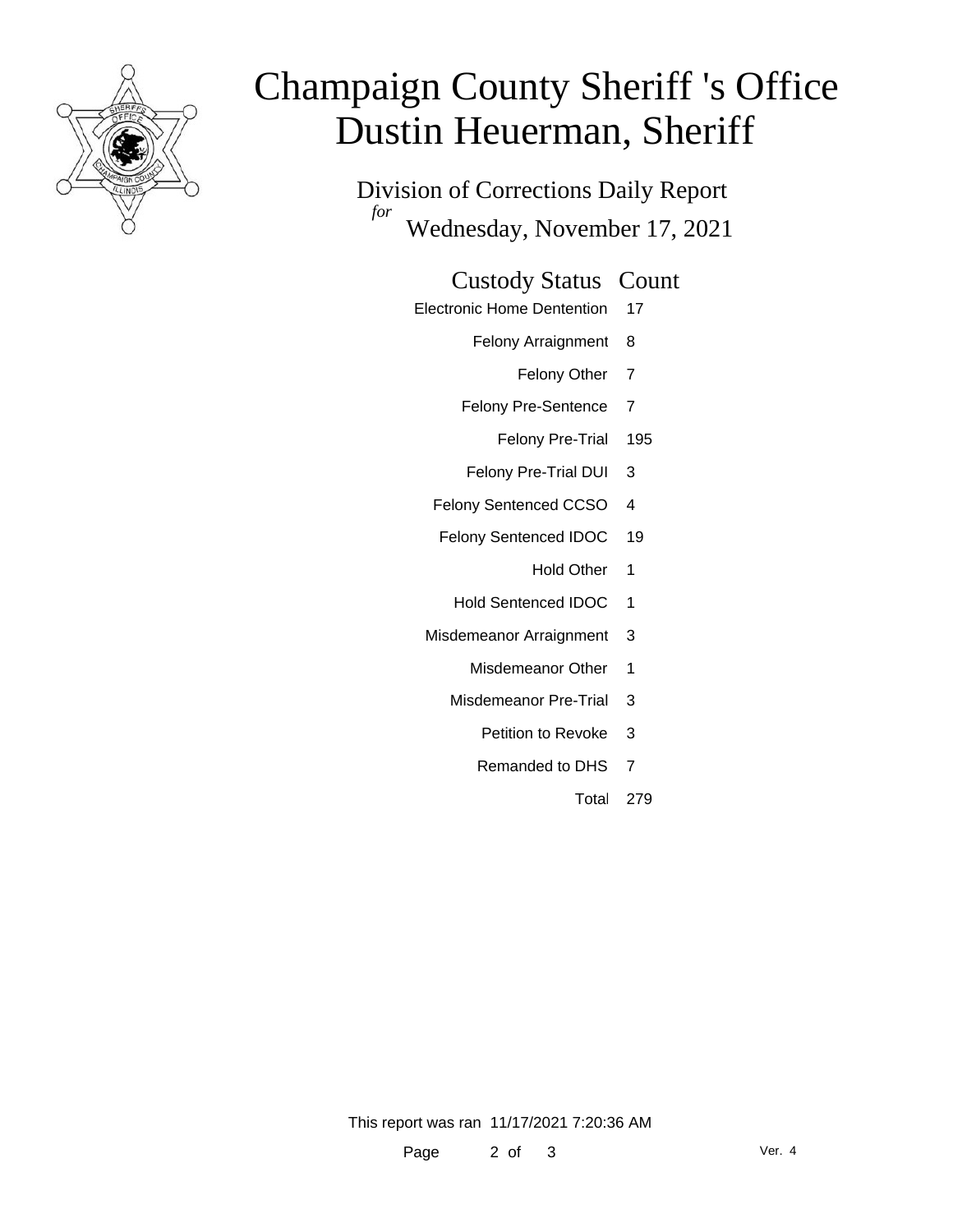

# Champaign County Sheriff 's Office Dustin Heuerman, Sheriff

Division of Corrections Daily Report *for* Wednesday, November 17, 2021

#### Custody Status Count

- Electronic Home Dentention 17
	- Felony Arraignment 8
		- Felony Other 7
	- Felony Pre-Sentence 7
		- Felony Pre-Trial 195
	- Felony Pre-Trial DUI 3
	- Felony Sentenced CCSO 4
	- Felony Sentenced IDOC 19
		- Hold Other 1
		- Hold Sentenced IDOC 1
	- Misdemeanor Arraignment 3
		- Misdemeanor Other 1
		- Misdemeanor Pre-Trial 3
			- Petition to Revoke 3
			- Remanded to DHS 7
				- Total 279

This report was ran 11/17/2021 7:20:36 AM